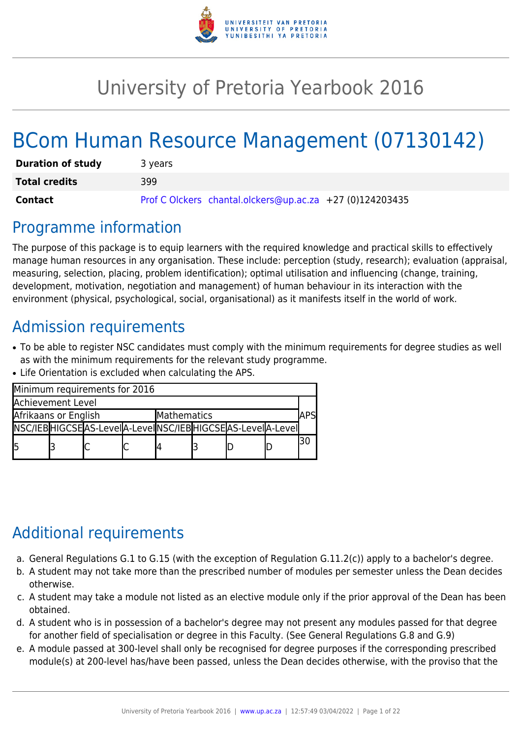

# University of Pretoria Yearbook 2016

# BCom Human Resource Management (07130142)

| <b>Duration of study</b> | 3 years                                                  |
|--------------------------|----------------------------------------------------------|
| <b>Total credits</b>     | 399                                                      |
| Contact                  | Prof C Olckers chantal.olckers@up.ac.za +27 (0)124203435 |

# Programme information

The purpose of this package is to equip learners with the required knowledge and practical skills to effectively manage human resources in any organisation. These include: perception (study, research); evaluation (appraisal, measuring, selection, placing, problem identification); optimal utilisation and influencing (change, training, development, motivation, negotiation and management) of human behaviour in its interaction with the environment (physical, psychological, social, organisational) as it manifests itself in the world of work.

# Admission requirements

- To be able to register NSC candidates must comply with the minimum requirements for degree studies as well as with the minimum requirements for the relevant study programme.
- Life Orientation is excluded when calculating the APS.

|                          |  | Minimum requirements for 2016                                   |  |             |  |  |             |    |
|--------------------------|--|-----------------------------------------------------------------|--|-------------|--|--|-------------|----|
| <b>Achievement Level</b> |  |                                                                 |  |             |  |  |             |    |
| Afrikaans or English     |  |                                                                 |  | Mathematics |  |  | <b>\PSI</b> |    |
|                          |  | NSC/IEB HIGCSE AS-Level A-Level NSC/IEB HIGCSE AS-Level A-Level |  |             |  |  |             |    |
| l5                       |  |                                                                 |  |             |  |  |             | 30 |

# Additional requirements

- a. General Regulations G.1 to G.15 (with the exception of Regulation G.11.2(c)) apply to a bachelor's degree.
- b. A student may not take more than the prescribed number of modules per semester unless the Dean decides otherwise.
- c. A student may take a module not listed as an elective module only if the prior approval of the Dean has been obtained.
- d. A student who is in possession of a bachelor's degree may not present any modules passed for that degree for another field of specialisation or degree in this Faculty. (See General Regulations G.8 and G.9)
- e. A module passed at 300-level shall only be recognised for degree purposes if the corresponding prescribed module(s) at 200-level has/have been passed, unless the Dean decides otherwise, with the proviso that the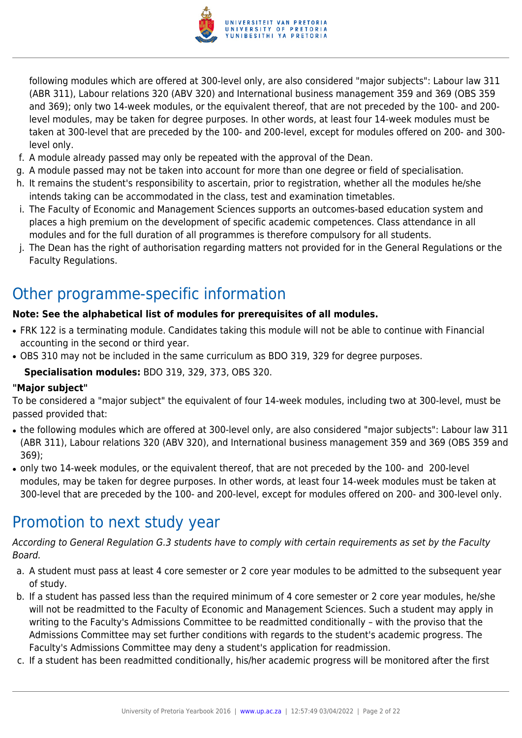

following modules which are offered at 300-level only, are also considered "major subjects": Labour law 311 (ABR 311), Labour relations 320 (ABV 320) and International business management 359 and 369 (OBS 359 and 369); only two 14-week modules, or the equivalent thereof, that are not preceded by the 100- and 200 level modules, may be taken for degree purposes. In other words, at least four 14-week modules must be taken at 300-level that are preceded by the 100- and 200-level, except for modules offered on 200- and 300 level only.

- f. A module already passed may only be repeated with the approval of the Dean.
- g. A module passed may not be taken into account for more than one degree or field of specialisation.
- h. It remains the student's responsibility to ascertain, prior to registration, whether all the modules he/she intends taking can be accommodated in the class, test and examination timetables.
- i. The Faculty of Economic and Management Sciences supports an outcomes-based education system and places a high premium on the development of specific academic competences. Class attendance in all modules and for the full duration of all programmes is therefore compulsory for all students.
- j. The Dean has the right of authorisation regarding matters not provided for in the General Regulations or the Faculty Regulations.

# Other programme-specific information

### **Note: See the alphabetical list of modules for prerequisites of all modules.**

- FRK 122 is a terminating module. Candidates taking this module will not be able to continue with Financial accounting in the second or third year.
- OBS 310 may not be included in the same curriculum as BDO 319, 329 for degree purposes.

**Specialisation modules:** BDO 319, 329, 373, OBS 320.

### **"Major subject"**

To be considered a "major subject" the equivalent of four 14-week modules, including two at 300-level, must be passed provided that:

- the following modules which are offered at 300-level only, are also considered "major subjects": Labour law 311 (ABR 311), Labour relations 320 (ABV 320), and International business management 359 and 369 (OBS 359 and 369);
- only two 14-week modules, or the equivalent thereof, that are not preceded by the 100- and 200-level modules, may be taken for degree purposes. In other words, at least four 14-week modules must be taken at 300-level that are preceded by the 100- and 200-level, except for modules offered on 200- and 300-level only.

# Promotion to next study year

According to General Regulation G.3 students have to comply with certain requirements as set by the Faculty Board.

- a. A student must pass at least 4 core semester or 2 core year modules to be admitted to the subsequent year of study.
- b. If a student has passed less than the required minimum of 4 core semester or 2 core year modules, he/she will not be readmitted to the Faculty of Economic and Management Sciences. Such a student may apply in writing to the Faculty's Admissions Committee to be readmitted conditionally – with the proviso that the Admissions Committee may set further conditions with regards to the student's academic progress. The Faculty's Admissions Committee may deny a student's application for readmission.
- c. If a student has been readmitted conditionally, his/her academic progress will be monitored after the first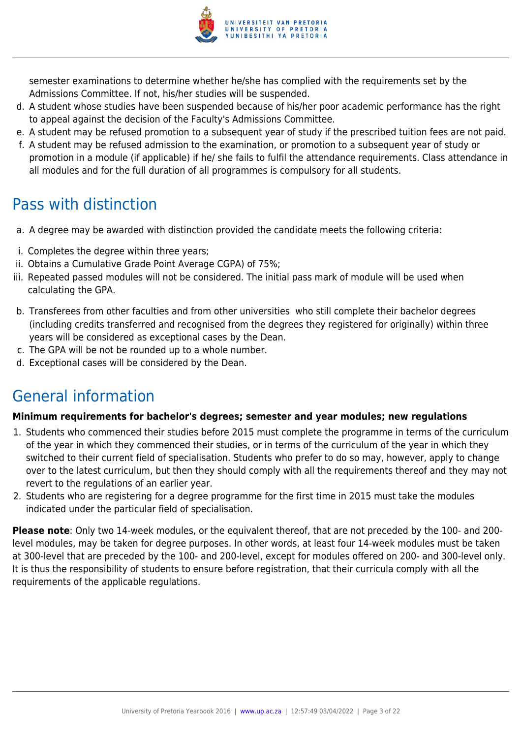

semester examinations to determine whether he/she has complied with the requirements set by the Admissions Committee. If not, his/her studies will be suspended.

- d. A student whose studies have been suspended because of his/her poor academic performance has the right to appeal against the decision of the Faculty's Admissions Committee.
- e. A student may be refused promotion to a subsequent year of study if the prescribed tuition fees are not paid.
- f. A student may be refused admission to the examination, or promotion to a subsequent year of study or promotion in a module (if applicable) if he/ she fails to fulfil the attendance requirements. Class attendance in all modules and for the full duration of all programmes is compulsory for all students.

# Pass with distinction

- a. A degree may be awarded with distinction provided the candidate meets the following criteria:
- i. Completes the degree within three years;
- ii. Obtains a Cumulative Grade Point Average CGPA) of 75%;
- iii. Repeated passed modules will not be considered. The initial pass mark of module will be used when calculating the GPA.
- b. Transferees from other faculties and from other universities who still complete their bachelor degrees (including credits transferred and recognised from the degrees they registered for originally) within three years will be considered as exceptional cases by the Dean.
- c. The GPA will be not be rounded up to a whole number.
- d. Exceptional cases will be considered by the Dean.

# General information

# **Minimum requirements for bachelor's degrees; semester and year modules; new regulations**

- 1. Students who commenced their studies before 2015 must complete the programme in terms of the curriculum of the year in which they commenced their studies, or in terms of the curriculum of the year in which they switched to their current field of specialisation. Students who prefer to do so may, however, apply to change over to the latest curriculum, but then they should comply with all the requirements thereof and they may not revert to the regulations of an earlier year.
- 2. Students who are registering for a degree programme for the first time in 2015 must take the modules indicated under the particular field of specialisation.

**Please note**: Only two 14-week modules, or the equivalent thereof, that are not preceded by the 100- and 200 level modules, may be taken for degree purposes. In other words, at least four 14-week modules must be taken at 300-level that are preceded by the 100- and 200-level, except for modules offered on 200- and 300-level only. It is thus the responsibility of students to ensure before registration, that their curricula comply with all the requirements of the applicable regulations.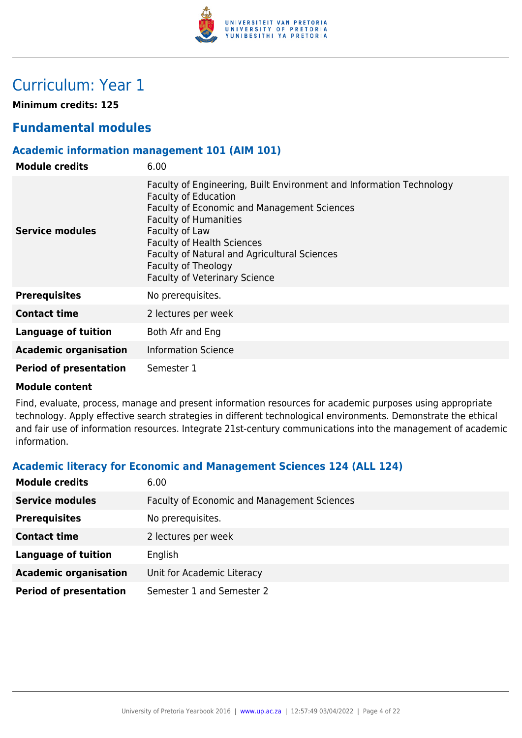

# Curriculum: Year 1

**Minimum credits: 125**

# **Fundamental modules**

# **Academic information management 101 (AIM 101)**

| <b>Module credits</b>         | 6.00                                                                                                                                                                                                                                                                                                                                                     |
|-------------------------------|----------------------------------------------------------------------------------------------------------------------------------------------------------------------------------------------------------------------------------------------------------------------------------------------------------------------------------------------------------|
| Service modules               | Faculty of Engineering, Built Environment and Information Technology<br><b>Faculty of Education</b><br>Faculty of Economic and Management Sciences<br><b>Faculty of Humanities</b><br>Faculty of Law<br><b>Faculty of Health Sciences</b><br>Faculty of Natural and Agricultural Sciences<br>Faculty of Theology<br><b>Faculty of Veterinary Science</b> |
| <b>Prerequisites</b>          | No prerequisites.                                                                                                                                                                                                                                                                                                                                        |
| <b>Contact time</b>           | 2 lectures per week                                                                                                                                                                                                                                                                                                                                      |
| Language of tuition           | Both Afr and Eng                                                                                                                                                                                                                                                                                                                                         |
| <b>Academic organisation</b>  | <b>Information Science</b>                                                                                                                                                                                                                                                                                                                               |
| <b>Period of presentation</b> | Semester 1                                                                                                                                                                                                                                                                                                                                               |

#### **Module content**

Find, evaluate, process, manage and present information resources for academic purposes using appropriate technology. Apply effective search strategies in different technological environments. Demonstrate the ethical and fair use of information resources. Integrate 21st-century communications into the management of academic information.

# **Academic literacy for Economic and Management Sciences 124 (ALL 124)**

| <b>Module credits</b>         | 6.00                                               |
|-------------------------------|----------------------------------------------------|
| <b>Service modules</b>        | <b>Faculty of Economic and Management Sciences</b> |
| <b>Prerequisites</b>          | No prerequisites.                                  |
| <b>Contact time</b>           | 2 lectures per week                                |
| <b>Language of tuition</b>    | English                                            |
| <b>Academic organisation</b>  | Unit for Academic Literacy                         |
| <b>Period of presentation</b> | Semester 1 and Semester 2                          |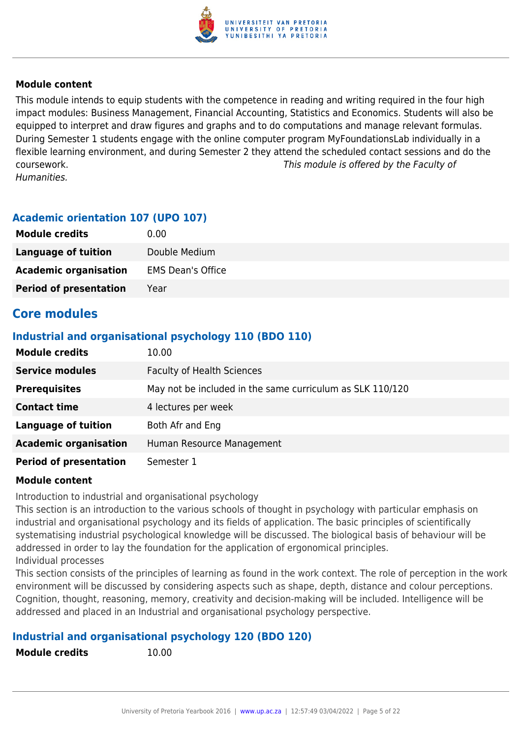

This module intends to equip students with the competence in reading and writing required in the four high impact modules: Business Management, Financial Accounting, Statistics and Economics. Students will also be equipped to interpret and draw figures and graphs and to do computations and manage relevant formulas. During Semester 1 students engage with the online computer program MyFoundationsLab individually in a flexible learning environment, and during Semester 2 they attend the scheduled contact sessions and do the coursework. This module is offered by the Faculty of Humanities.

# **Academic orientation 107 (UPO 107)**

| <b>Module credits</b>         | 0.00                     |
|-------------------------------|--------------------------|
| <b>Language of tuition</b>    | Double Medium            |
| <b>Academic organisation</b>  | <b>EMS Dean's Office</b> |
| <b>Period of presentation</b> | Year                     |

# **Core modules**

# **Industrial and organisational psychology 110 (BDO 110)**

| <b>Module credits</b>         | 10.00                                                     |
|-------------------------------|-----------------------------------------------------------|
| <b>Service modules</b>        | <b>Faculty of Health Sciences</b>                         |
| <b>Prerequisites</b>          | May not be included in the same curriculum as SLK 110/120 |
| <b>Contact time</b>           | 4 lectures per week                                       |
| <b>Language of tuition</b>    | Both Afr and Eng                                          |
| <b>Academic organisation</b>  | Human Resource Management                                 |
| <b>Period of presentation</b> | Semester 1                                                |

### **Module content**

Introduction to industrial and organisational psychology

This section is an introduction to the various schools of thought in psychology with particular emphasis on industrial and organisational psychology and its fields of application. The basic principles of scientifically systematising industrial psychological knowledge will be discussed. The biological basis of behaviour will be addressed in order to lay the foundation for the application of ergonomical principles. Individual processes

This section consists of the principles of learning as found in the work context. The role of perception in the work environment will be discussed by considering aspects such as shape, depth, distance and colour perceptions. Cognition, thought, reasoning, memory, creativity and decision-making will be included. Intelligence will be addressed and placed in an Industrial and organisational psychology perspective.

# **Industrial and organisational psychology 120 (BDO 120)**

**Module credits** 10.00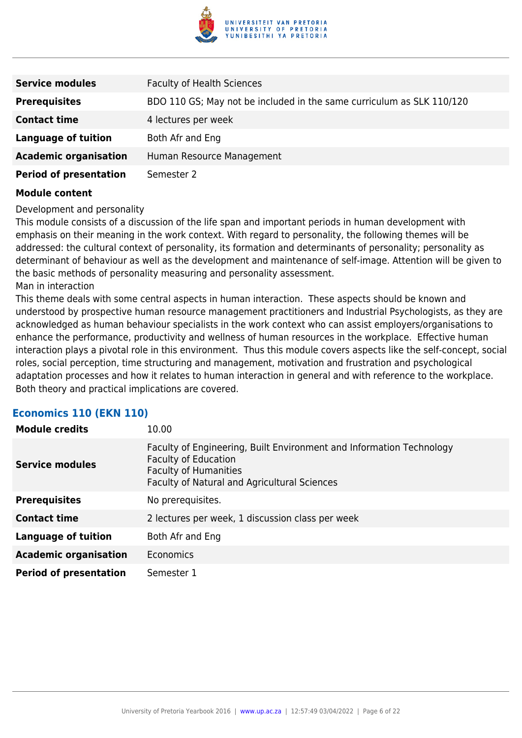

| <b>Service modules</b>        | <b>Faculty of Health Sciences</b>                                     |
|-------------------------------|-----------------------------------------------------------------------|
| <b>Prerequisites</b>          | BDO 110 GS; May not be included in the same curriculum as SLK 110/120 |
| <b>Contact time</b>           | 4 lectures per week                                                   |
| <b>Language of tuition</b>    | Both Afr and Eng                                                      |
| <b>Academic organisation</b>  | Human Resource Management                                             |
| <b>Period of presentation</b> | Semester 2                                                            |

Development and personality

This module consists of a discussion of the life span and important periods in human development with emphasis on their meaning in the work context. With regard to personality, the following themes will be addressed: the cultural context of personality, its formation and determinants of personality; personality as determinant of behaviour as well as the development and maintenance of self-image. Attention will be given to the basic methods of personality measuring and personality assessment. Man in interaction

This theme deals with some central aspects in human interaction. These aspects should be known and understood by prospective human resource management practitioners and Industrial Psychologists, as they are acknowledged as human behaviour specialists in the work context who can assist employers/organisations to enhance the performance, productivity and wellness of human resources in the workplace. Effective human interaction plays a pivotal role in this environment. Thus this module covers aspects like the self-concept, social roles, social perception, time structuring and management, motivation and frustration and psychological adaptation processes and how it relates to human interaction in general and with reference to the workplace. Both theory and practical implications are covered.

### **Economics 110 (EKN 110)**

| <b>Module credits</b>         | 10.00                                                                                                                                                                               |
|-------------------------------|-------------------------------------------------------------------------------------------------------------------------------------------------------------------------------------|
| <b>Service modules</b>        | Faculty of Engineering, Built Environment and Information Technology<br><b>Faculty of Education</b><br><b>Faculty of Humanities</b><br>Faculty of Natural and Agricultural Sciences |
| <b>Prerequisites</b>          | No prerequisites.                                                                                                                                                                   |
| <b>Contact time</b>           | 2 lectures per week, 1 discussion class per week                                                                                                                                    |
| <b>Language of tuition</b>    | Both Afr and Eng                                                                                                                                                                    |
| <b>Academic organisation</b>  | <b>Economics</b>                                                                                                                                                                    |
| <b>Period of presentation</b> | Semester 1                                                                                                                                                                          |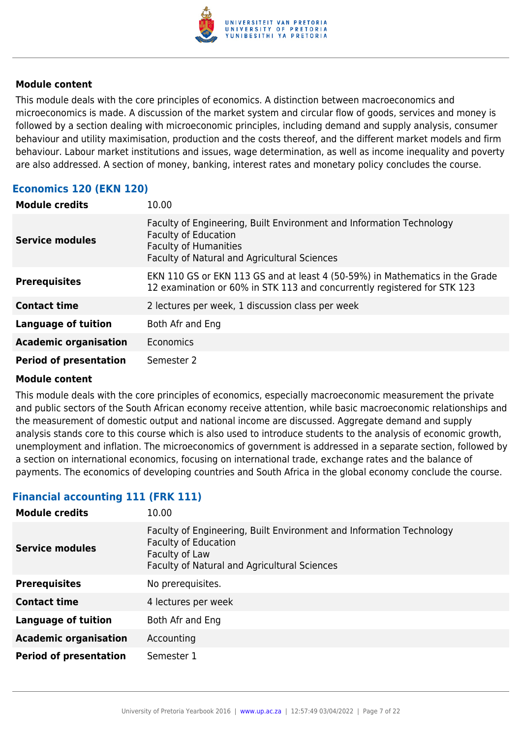

This module deals with the core principles of economics. A distinction between macroeconomics and microeconomics is made. A discussion of the market system and circular flow of goods, services and money is followed by a section dealing with microeconomic principles, including demand and supply analysis, consumer behaviour and utility maximisation, production and the costs thereof, and the different market models and firm behaviour. Labour market institutions and issues, wage determination, as well as income inequality and poverty are also addressed. A section of money, banking, interest rates and monetary policy concludes the course.

# **Economics 120 (EKN 120)**

| <b>Module credits</b>         | 10.00                                                                                                                                                                                      |
|-------------------------------|--------------------------------------------------------------------------------------------------------------------------------------------------------------------------------------------|
| <b>Service modules</b>        | Faculty of Engineering, Built Environment and Information Technology<br><b>Faculty of Education</b><br><b>Faculty of Humanities</b><br><b>Faculty of Natural and Agricultural Sciences</b> |
| <b>Prerequisites</b>          | EKN 110 GS or EKN 113 GS and at least 4 (50-59%) in Mathematics in the Grade<br>12 examination or 60% in STK 113 and concurrently registered for STK 123                                   |
| <b>Contact time</b>           | 2 lectures per week, 1 discussion class per week                                                                                                                                           |
| <b>Language of tuition</b>    | Both Afr and Eng                                                                                                                                                                           |
| <b>Academic organisation</b>  | Economics                                                                                                                                                                                  |
| <b>Period of presentation</b> | Semester 2                                                                                                                                                                                 |

### **Module content**

This module deals with the core principles of economics, especially macroeconomic measurement the private and public sectors of the South African economy receive attention, while basic macroeconomic relationships and the measurement of domestic output and national income are discussed. Aggregate demand and supply analysis stands core to this course which is also used to introduce students to the analysis of economic growth, unemployment and inflation. The microeconomics of government is addressed in a separate section, followed by a section on international economics, focusing on international trade, exchange rates and the balance of payments. The economics of developing countries and South Africa in the global economy conclude the course.

# **Financial accounting 111 (FRK 111)**

| <b>Module credits</b>         | 10.00                                                                                                                                                                 |
|-------------------------------|-----------------------------------------------------------------------------------------------------------------------------------------------------------------------|
| <b>Service modules</b>        | Faculty of Engineering, Built Environment and Information Technology<br><b>Faculty of Education</b><br>Faculty of Law<br>Faculty of Natural and Agricultural Sciences |
| <b>Prerequisites</b>          | No prerequisites.                                                                                                                                                     |
| <b>Contact time</b>           | 4 lectures per week                                                                                                                                                   |
| <b>Language of tuition</b>    | Both Afr and Eng                                                                                                                                                      |
| <b>Academic organisation</b>  | Accounting                                                                                                                                                            |
| <b>Period of presentation</b> | Semester 1                                                                                                                                                            |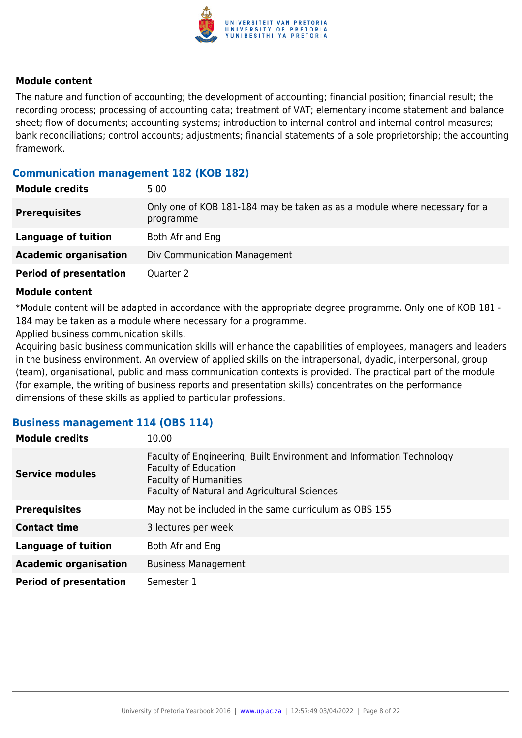

The nature and function of accounting; the development of accounting; financial position; financial result; the recording process; processing of accounting data; treatment of VAT; elementary income statement and balance sheet; flow of documents; accounting systems; introduction to internal control and internal control measures; bank reconciliations; control accounts; adjustments; financial statements of a sole proprietorship; the accounting framework.

# **Communication management 182 (KOB 182)**

| <b>Module credits</b>         | 5.00                                                                                   |
|-------------------------------|----------------------------------------------------------------------------------------|
| <b>Prerequisites</b>          | Only one of KOB 181-184 may be taken as as a module where necessary for a<br>programme |
| Language of tuition           | Both Afr and Eng                                                                       |
| <b>Academic organisation</b>  | Div Communication Management                                                           |
| <b>Period of presentation</b> | Quarter 2                                                                              |

#### **Module content**

\*Module content will be adapted in accordance with the appropriate degree programme. Only one of KOB 181 - 184 may be taken as a module where necessary for a programme.

Applied business communication skills.

Acquiring basic business communication skills will enhance the capabilities of employees, managers and leaders in the business environment. An overview of applied skills on the intrapersonal, dyadic, interpersonal, group (team), organisational, public and mass communication contexts is provided. The practical part of the module (for example, the writing of business reports and presentation skills) concentrates on the performance dimensions of these skills as applied to particular professions.

### **Business management 114 (OBS 114)**

| <b>Module credits</b>         | 10.00                                                                                                                                                                                      |
|-------------------------------|--------------------------------------------------------------------------------------------------------------------------------------------------------------------------------------------|
| <b>Service modules</b>        | Faculty of Engineering, Built Environment and Information Technology<br><b>Faculty of Education</b><br><b>Faculty of Humanities</b><br><b>Faculty of Natural and Agricultural Sciences</b> |
| <b>Prerequisites</b>          | May not be included in the same curriculum as OBS 155                                                                                                                                      |
| <b>Contact time</b>           | 3 lectures per week                                                                                                                                                                        |
| <b>Language of tuition</b>    | Both Afr and Eng                                                                                                                                                                           |
| <b>Academic organisation</b>  | <b>Business Management</b>                                                                                                                                                                 |
| <b>Period of presentation</b> | Semester 1                                                                                                                                                                                 |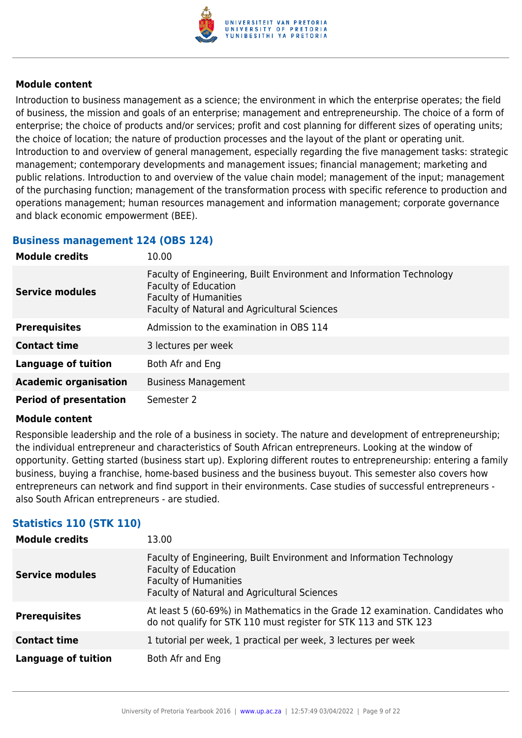

Introduction to business management as a science; the environment in which the enterprise operates; the field of business, the mission and goals of an enterprise; management and entrepreneurship. The choice of a form of enterprise; the choice of products and/or services; profit and cost planning for different sizes of operating units; the choice of location; the nature of production processes and the layout of the plant or operating unit. Introduction to and overview of general management, especially regarding the five management tasks: strategic management; contemporary developments and management issues; financial management; marketing and public relations. Introduction to and overview of the value chain model; management of the input; management of the purchasing function; management of the transformation process with specific reference to production and operations management; human resources management and information management; corporate governance and black economic empowerment (BEE).

# **Business management 124 (OBS 124)**

| <b>Module credits</b>         | 10.00                                                                                                                                                                               |
|-------------------------------|-------------------------------------------------------------------------------------------------------------------------------------------------------------------------------------|
| <b>Service modules</b>        | Faculty of Engineering, Built Environment and Information Technology<br><b>Faculty of Education</b><br><b>Faculty of Humanities</b><br>Faculty of Natural and Agricultural Sciences |
| <b>Prerequisites</b>          | Admission to the examination in OBS 114                                                                                                                                             |
| <b>Contact time</b>           | 3 lectures per week                                                                                                                                                                 |
| <b>Language of tuition</b>    | Both Afr and Eng                                                                                                                                                                    |
| <b>Academic organisation</b>  | <b>Business Management</b>                                                                                                                                                          |
| <b>Period of presentation</b> | Semester 2                                                                                                                                                                          |

### **Module content**

Responsible leadership and the role of a business in society. The nature and development of entrepreneurship; the individual entrepreneur and characteristics of South African entrepreneurs. Looking at the window of opportunity. Getting started (business start up). Exploring different routes to entrepreneurship: entering a family business, buying a franchise, home-based business and the business buyout. This semester also covers how entrepreneurs can network and find support in their environments. Case studies of successful entrepreneurs also South African entrepreneurs - are studied.

# **Statistics 110 (STK 110)**

| <b>Module credits</b>  | 13.00                                                                                                                                                                               |
|------------------------|-------------------------------------------------------------------------------------------------------------------------------------------------------------------------------------|
| <b>Service modules</b> | Faculty of Engineering, Built Environment and Information Technology<br><b>Faculty of Education</b><br><b>Faculty of Humanities</b><br>Faculty of Natural and Agricultural Sciences |
| <b>Prerequisites</b>   | At least 5 (60-69%) in Mathematics in the Grade 12 examination. Candidates who<br>do not qualify for STK 110 must register for STK 113 and STK 123                                  |
| <b>Contact time</b>    | 1 tutorial per week, 1 practical per week, 3 lectures per week                                                                                                                      |
| Language of tuition    | Both Afr and Eng                                                                                                                                                                    |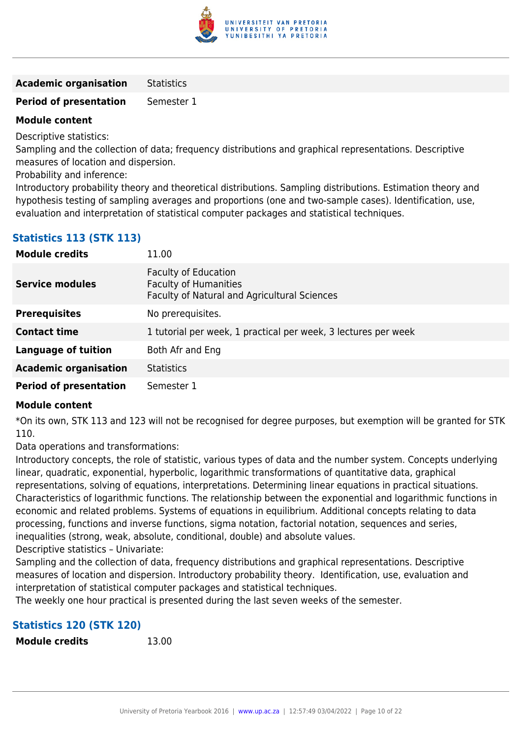

**Academic organisation** Statistics

**Period of presentation** Semester 1

# **Module content**

Descriptive statistics:

Sampling and the collection of data; frequency distributions and graphical representations. Descriptive measures of location and dispersion.

Probability and inference:

Introductory probability theory and theoretical distributions. Sampling distributions. Estimation theory and hypothesis testing of sampling averages and proportions (one and two-sample cases). Identification, use, evaluation and interpretation of statistical computer packages and statistical techniques.

| <b>Module credits</b>         | 11.00                                                                                                              |
|-------------------------------|--------------------------------------------------------------------------------------------------------------------|
| <b>Service modules</b>        | <b>Faculty of Education</b><br><b>Faculty of Humanities</b><br><b>Faculty of Natural and Agricultural Sciences</b> |
| <b>Prerequisites</b>          | No prerequisites.                                                                                                  |
| <b>Contact time</b>           | 1 tutorial per week, 1 practical per week, 3 lectures per week                                                     |
| Language of tuition           | Both Afr and Eng                                                                                                   |
| <b>Academic organisation</b>  | <b>Statistics</b>                                                                                                  |
| <b>Period of presentation</b> | Semester 1                                                                                                         |

# **Module content**

\*On its own, STK 113 and 123 will not be recognised for degree purposes, but exemption will be granted for STK 110.

Data operations and transformations:

Introductory concepts, the role of statistic, various types of data and the number system. Concepts underlying linear, quadratic, exponential, hyperbolic, logarithmic transformations of quantitative data, graphical representations, solving of equations, interpretations. Determining linear equations in practical situations. Characteristics of logarithmic functions. The relationship between the exponential and logarithmic functions in economic and related problems. Systems of equations in equilibrium. Additional concepts relating to data processing, functions and inverse functions, sigma notation, factorial notation, sequences and series, inequalities (strong, weak, absolute, conditional, double) and absolute values.

Descriptive statistics – Univariate:

Sampling and the collection of data, frequency distributions and graphical representations. Descriptive measures of location and dispersion. Introductory probability theory. Identification, use, evaluation and interpretation of statistical computer packages and statistical techniques.

The weekly one hour practical is presented during the last seven weeks of the semester.

# **Statistics 120 (STK 120)**

**Module credits** 13.00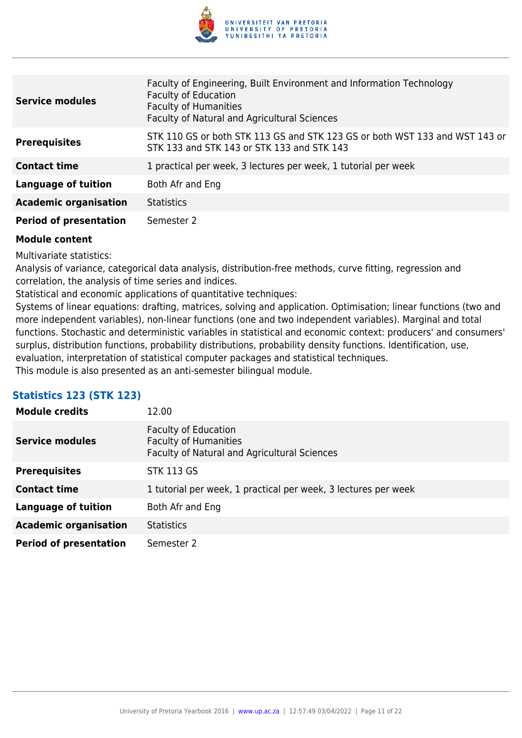

| <b>Service modules</b>        | Faculty of Engineering, Built Environment and Information Technology<br><b>Faculty of Education</b><br><b>Faculty of Humanities</b><br>Faculty of Natural and Agricultural Sciences |
|-------------------------------|-------------------------------------------------------------------------------------------------------------------------------------------------------------------------------------|
| <b>Prerequisites</b>          | STK 110 GS or both STK 113 GS and STK 123 GS or both WST 133 and WST 143 or<br>STK 133 and STK 143 or STK 133 and STK 143                                                           |
| <b>Contact time</b>           | 1 practical per week, 3 lectures per week, 1 tutorial per week                                                                                                                      |
| Language of tuition           | Both Afr and Eng                                                                                                                                                                    |
| <b>Academic organisation</b>  | <b>Statistics</b>                                                                                                                                                                   |
| <b>Period of presentation</b> | Semester 2                                                                                                                                                                          |

Multivariate statistics:

Analysis of variance, categorical data analysis, distribution-free methods, curve fitting, regression and correlation, the analysis of time series and indices.

Statistical and economic applications of quantitative techniques:

Systems of linear equations: drafting, matrices, solving and application. Optimisation; linear functions (two and more independent variables), non-linear functions (one and two independent variables). Marginal and total functions. Stochastic and deterministic variables in statistical and economic context: producers' and consumers' surplus, distribution functions, probability distributions, probability density functions. Identification, use, evaluation, interpretation of statistical computer packages and statistical techniques. This module is also presented as an anti-semester bilingual module.

# **Statistics 123 (STK 123)**

| <b>Module credits</b>         | 12.00                                                                                                       |
|-------------------------------|-------------------------------------------------------------------------------------------------------------|
| <b>Service modules</b>        | <b>Faculty of Education</b><br><b>Faculty of Humanities</b><br>Faculty of Natural and Agricultural Sciences |
| <b>Prerequisites</b>          | <b>STK 113 GS</b>                                                                                           |
| <b>Contact time</b>           | 1 tutorial per week, 1 practical per week, 3 lectures per week                                              |
| <b>Language of tuition</b>    | Both Afr and Eng                                                                                            |
| <b>Academic organisation</b>  | <b>Statistics</b>                                                                                           |
| <b>Period of presentation</b> | Semester 2                                                                                                  |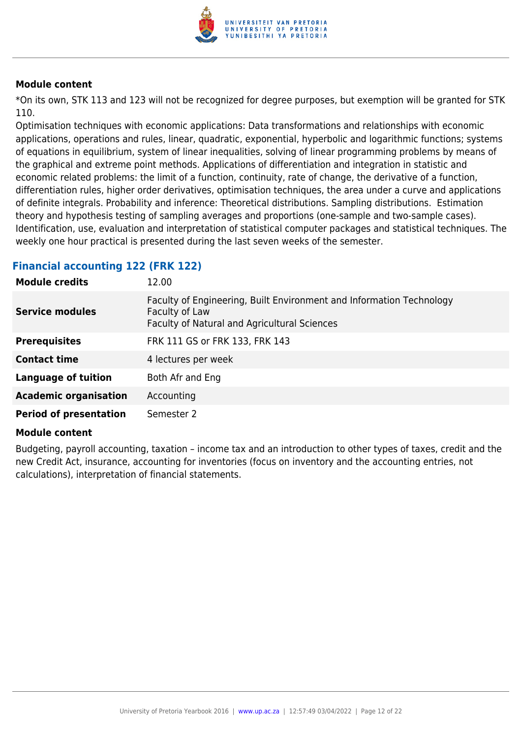

\*On its own, STK 113 and 123 will not be recognized for degree purposes, but exemption will be granted for STK 110.

Optimisation techniques with economic applications: Data transformations and relationships with economic applications, operations and rules, linear, quadratic, exponential, hyperbolic and logarithmic functions; systems of equations in equilibrium, system of linear inequalities, solving of linear programming problems by means of the graphical and extreme point methods. Applications of differentiation and integration in statistic and economic related problems: the limit of a function, continuity, rate of change, the derivative of a function, differentiation rules, higher order derivatives, optimisation techniques, the area under a curve and applications of definite integrals. Probability and inference: Theoretical distributions. Sampling distributions. Estimation theory and hypothesis testing of sampling averages and proportions (one-sample and two-sample cases). Identification, use, evaluation and interpretation of statistical computer packages and statistical techniques. The weekly one hour practical is presented during the last seven weeks of the semester.

### **Financial accounting 122 (FRK 122)**

| <b>Module credits</b>         | 12.00                                                                                                                                  |
|-------------------------------|----------------------------------------------------------------------------------------------------------------------------------------|
| <b>Service modules</b>        | Faculty of Engineering, Built Environment and Information Technology<br>Faculty of Law<br>Faculty of Natural and Agricultural Sciences |
| <b>Prerequisites</b>          | FRK 111 GS or FRK 133, FRK 143                                                                                                         |
| <b>Contact time</b>           | 4 lectures per week                                                                                                                    |
| <b>Language of tuition</b>    | Both Afr and Eng                                                                                                                       |
| <b>Academic organisation</b>  | Accounting                                                                                                                             |
| <b>Period of presentation</b> | Semester 2                                                                                                                             |

### **Module content**

Budgeting, payroll accounting, taxation – income tax and an introduction to other types of taxes, credit and the new Credit Act, insurance, accounting for inventories (focus on inventory and the accounting entries, not calculations), interpretation of financial statements.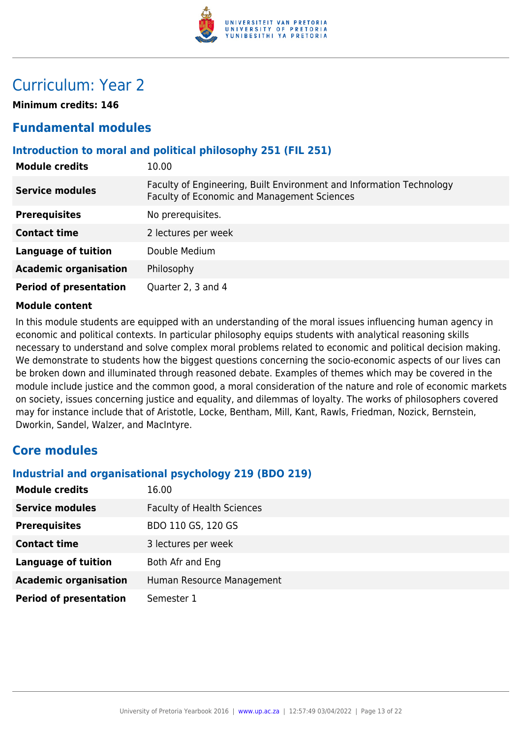

# Curriculum: Year 2

**Minimum credits: 146**

# **Fundamental modules**

# **Introduction to moral and political philosophy 251 (FIL 251)**

| <b>Module credits</b>         | 10.00                                                                                                               |
|-------------------------------|---------------------------------------------------------------------------------------------------------------------|
| <b>Service modules</b>        | Faculty of Engineering, Built Environment and Information Technology<br>Faculty of Economic and Management Sciences |
| <b>Prerequisites</b>          | No prerequisites.                                                                                                   |
| <b>Contact time</b>           | 2 lectures per week                                                                                                 |
| <b>Language of tuition</b>    | Double Medium                                                                                                       |
| <b>Academic organisation</b>  | Philosophy                                                                                                          |
| <b>Period of presentation</b> | Quarter 2, 3 and 4                                                                                                  |

### **Module content**

In this module students are equipped with an understanding of the moral issues influencing human agency in economic and political contexts. In particular philosophy equips students with analytical reasoning skills necessary to understand and solve complex moral problems related to economic and political decision making. We demonstrate to students how the biggest questions concerning the socio-economic aspects of our lives can be broken down and illuminated through reasoned debate. Examples of themes which may be covered in the module include justice and the common good, a moral consideration of the nature and role of economic markets on society, issues concerning justice and equality, and dilemmas of loyalty. The works of philosophers covered may for instance include that of Aristotle, Locke, Bentham, Mill, Kant, Rawls, Friedman, Nozick, Bernstein, Dworkin, Sandel, Walzer, and MacIntyre.

# **Core modules**

### **Industrial and organisational psychology 219 (BDO 219)**

| <b>Module credits</b>         | 16.00                             |
|-------------------------------|-----------------------------------|
| <b>Service modules</b>        | <b>Faculty of Health Sciences</b> |
| <b>Prerequisites</b>          | BDO 110 GS, 120 GS                |
| <b>Contact time</b>           | 3 lectures per week               |
| <b>Language of tuition</b>    | Both Afr and Eng                  |
| <b>Academic organisation</b>  | Human Resource Management         |
| <b>Period of presentation</b> | Semester 1                        |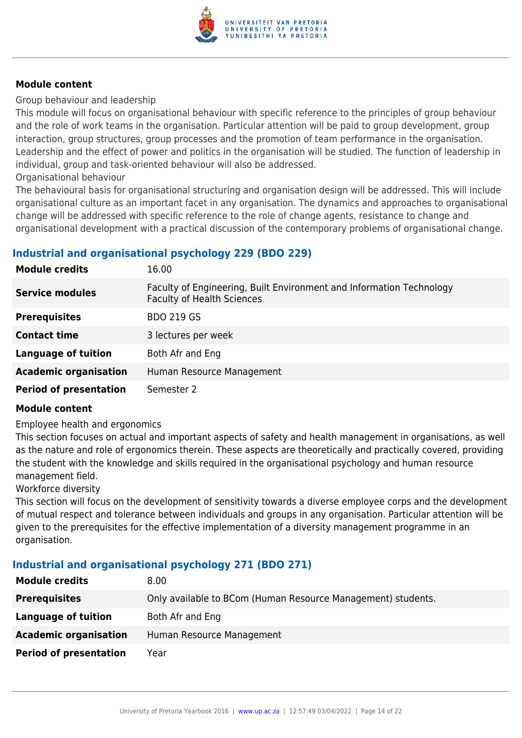

Group behaviour and leadership

This module will focus on organisational behaviour with specific reference to the principles of group behaviour and the role of work teams in the organisation. Particular attention will be paid to group development, group interaction, group structures, group processes and the promotion of team performance in the organisation. Leadership and the effect of power and politics in the organisation will be studied. The function of leadership in individual, group and task-oriented behaviour will also be addressed.

Organisational behaviour

The behavioural basis for organisational structuring and organisation design will be addressed. This will include organisational culture as an important facet in any organisation. The dynamics and approaches to organisational change will be addressed with specific reference to the role of change agents, resistance to change and organisational development with a practical discussion of the contemporary problems of organisational change.

# **Industrial and organisational psychology 229 (BDO 229)**

| <b>Module credits</b>         | 16.00                                                                                                     |
|-------------------------------|-----------------------------------------------------------------------------------------------------------|
| <b>Service modules</b>        | Faculty of Engineering, Built Environment and Information Technology<br><b>Faculty of Health Sciences</b> |
| <b>Prerequisites</b>          | <b>BDO 219 GS</b>                                                                                         |
| <b>Contact time</b>           | 3 lectures per week                                                                                       |
| <b>Language of tuition</b>    | Both Afr and Eng                                                                                          |
| <b>Academic organisation</b>  | Human Resource Management                                                                                 |
| <b>Period of presentation</b> | Semester 2                                                                                                |

### **Module content**

Employee health and ergonomics

This section focuses on actual and important aspects of safety and health management in organisations, as well as the nature and role of ergonomics therein. These aspects are theoretically and practically covered, providing the student with the knowledge and skills required in the organisational psychology and human resource management field.

Workforce diversity

This section will focus on the development of sensitivity towards a diverse employee corps and the development of mutual respect and tolerance between individuals and groups in any organisation. Particular attention will be given to the prerequisites for the effective implementation of a diversity management programme in an organisation.

# **Industrial and organisational psychology 271 (BDO 271)**

| <b>Module credits</b>         | 8.00                                                         |
|-------------------------------|--------------------------------------------------------------|
| <b>Prerequisites</b>          | Only available to BCom (Human Resource Management) students. |
| Language of tuition           | Both Afr and Eng                                             |
| <b>Academic organisation</b>  | Human Resource Management                                    |
| <b>Period of presentation</b> | Year                                                         |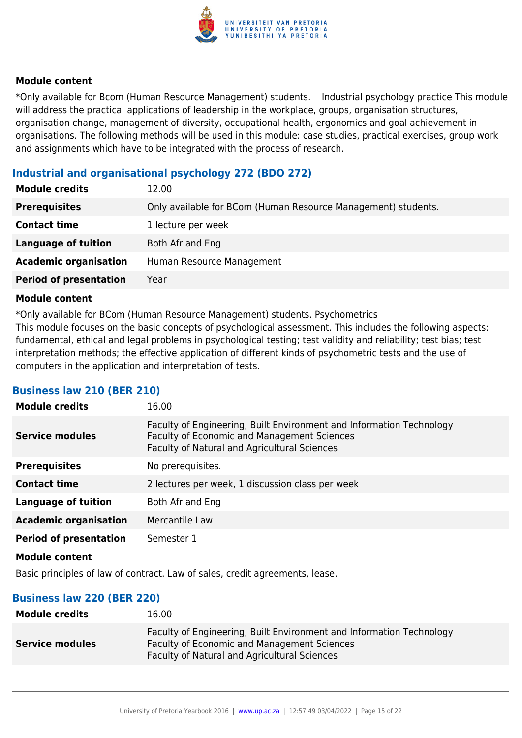

\*Only available for Bcom (Human Resource Management) students. Industrial psychology practice This module will address the practical applications of leadership in the workplace, groups, organisation structures, organisation change, management of diversity, occupational health, ergonomics and goal achievement in organisations. The following methods will be used in this module: case studies, practical exercises, group work and assignments which have to be integrated with the process of research.

# **Industrial and organisational psychology 272 (BDO 272)**

| <b>Module credits</b>         | 12.00                                                         |
|-------------------------------|---------------------------------------------------------------|
| <b>Prerequisites</b>          | Only available for BCom (Human Resource Management) students. |
| <b>Contact time</b>           | 1 lecture per week                                            |
| <b>Language of tuition</b>    | Both Afr and Eng                                              |
| <b>Academic organisation</b>  | Human Resource Management                                     |
| <b>Period of presentation</b> | Year                                                          |

#### **Module content**

\*Only available for BCom (Human Resource Management) students. Psychometrics This module focuses on the basic concepts of psychological assessment. This includes the following aspects: fundamental, ethical and legal problems in psychological testing; test validity and reliability; test bias; test interpretation methods; the effective application of different kinds of psychometric tests and the use of computers in the application and interpretation of tests.

### **Business law 210 (BER 210)**

| <b>Module credits</b>         | 16.00                                                                                                                                                               |
|-------------------------------|---------------------------------------------------------------------------------------------------------------------------------------------------------------------|
| <b>Service modules</b>        | Faculty of Engineering, Built Environment and Information Technology<br>Faculty of Economic and Management Sciences<br>Faculty of Natural and Agricultural Sciences |
| <b>Prerequisites</b>          | No prerequisites.                                                                                                                                                   |
| <b>Contact time</b>           | 2 lectures per week, 1 discussion class per week                                                                                                                    |
| <b>Language of tuition</b>    | Both Afr and Eng                                                                                                                                                    |
| <b>Academic organisation</b>  | Mercantile Law                                                                                                                                                      |
| <b>Period of presentation</b> | Semester 1                                                                                                                                                          |
| <b>Module content</b>         |                                                                                                                                                                     |

Basic principles of law of contract. Law of sales, credit agreements, lease.

### **Business law 220 (BER 220)**

| <b>Module credits</b>  | 16.00                                                                                                                                                                             |
|------------------------|-----------------------------------------------------------------------------------------------------------------------------------------------------------------------------------|
| <b>Service modules</b> | Faculty of Engineering, Built Environment and Information Technology<br><b>Faculty of Economic and Management Sciences</b><br><b>Faculty of Natural and Agricultural Sciences</b> |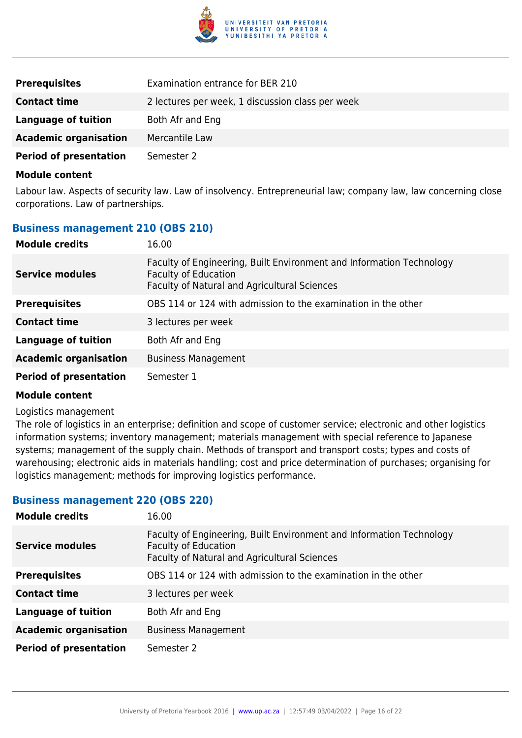

| <b>Prerequisites</b>          | Examination entrance for BER 210                 |
|-------------------------------|--------------------------------------------------|
| <b>Contact time</b>           | 2 lectures per week, 1 discussion class per week |
| Language of tuition           | Both Afr and Eng                                 |
| <b>Academic organisation</b>  | Mercantile Law                                   |
| <b>Period of presentation</b> | Semester 2                                       |

Labour law. Aspects of security law. Law of insolvency. Entrepreneurial law; company law, law concerning close corporations. Law of partnerships.

### **Business management 210 (OBS 210)**

| <b>Module credits</b>         | 16.00                                                                                                                                               |
|-------------------------------|-----------------------------------------------------------------------------------------------------------------------------------------------------|
| <b>Service modules</b>        | Faculty of Engineering, Built Environment and Information Technology<br><b>Faculty of Education</b><br>Faculty of Natural and Agricultural Sciences |
| <b>Prerequisites</b>          | OBS 114 or 124 with admission to the examination in the other                                                                                       |
| <b>Contact time</b>           | 3 lectures per week                                                                                                                                 |
| <b>Language of tuition</b>    | Both Afr and Eng                                                                                                                                    |
| <b>Academic organisation</b>  | <b>Business Management</b>                                                                                                                          |
| <b>Period of presentation</b> | Semester 1                                                                                                                                          |

#### **Module content**

#### Logistics management

The role of logistics in an enterprise; definition and scope of customer service; electronic and other logistics information systems; inventory management; materials management with special reference to Japanese systems; management of the supply chain. Methods of transport and transport costs; types and costs of warehousing; electronic aids in materials handling; cost and price determination of purchases; organising for logistics management; methods for improving logistics performance.

#### **Business management 220 (OBS 220)**

| <b>Module credits</b>         | 16.00                                                                                                                                               |
|-------------------------------|-----------------------------------------------------------------------------------------------------------------------------------------------------|
| <b>Service modules</b>        | Faculty of Engineering, Built Environment and Information Technology<br><b>Faculty of Education</b><br>Faculty of Natural and Agricultural Sciences |
| <b>Prerequisites</b>          | OBS 114 or 124 with admission to the examination in the other                                                                                       |
| <b>Contact time</b>           | 3 lectures per week                                                                                                                                 |
| Language of tuition           | Both Afr and Eng                                                                                                                                    |
| <b>Academic organisation</b>  | <b>Business Management</b>                                                                                                                          |
| <b>Period of presentation</b> | Semester 2                                                                                                                                          |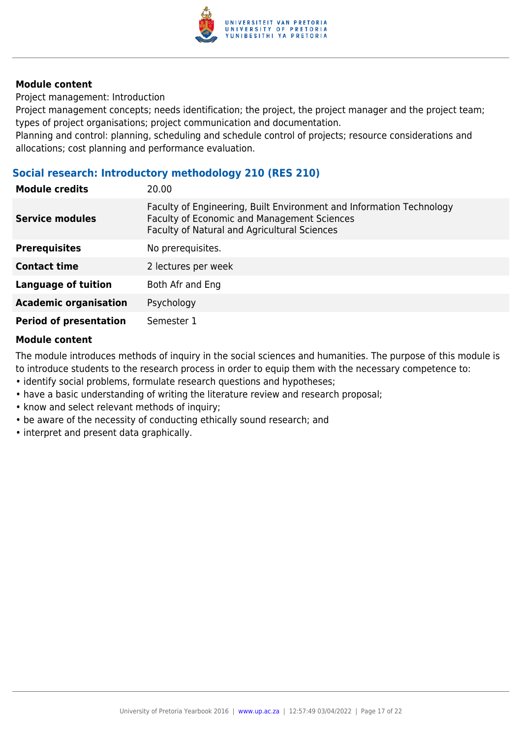

Project management: Introduction

Project management concepts; needs identification; the project, the project manager and the project team; types of project organisations; project communication and documentation.

Planning and control: planning, scheduling and schedule control of projects; resource considerations and allocations; cost planning and performance evaluation.

# **Social research: Introductory methodology 210 (RES 210)**

| <b>Module credits</b>         | 20.00                                                                                                                                                                      |
|-------------------------------|----------------------------------------------------------------------------------------------------------------------------------------------------------------------------|
| <b>Service modules</b>        | Faculty of Engineering, Built Environment and Information Technology<br>Faculty of Economic and Management Sciences<br><b>Faculty of Natural and Agricultural Sciences</b> |
| <b>Prerequisites</b>          | No prerequisites.                                                                                                                                                          |
| <b>Contact time</b>           | 2 lectures per week                                                                                                                                                        |
| <b>Language of tuition</b>    | Both Afr and Eng                                                                                                                                                           |
| <b>Academic organisation</b>  | Psychology                                                                                                                                                                 |
| <b>Period of presentation</b> | Semester 1                                                                                                                                                                 |

### **Module content**

The module introduces methods of inquiry in the social sciences and humanities. The purpose of this module is to introduce students to the research process in order to equip them with the necessary competence to:

- identify social problems, formulate research questions and hypotheses;
- have a basic understanding of writing the literature review and research proposal;
- know and select relevant methods of inquiry;
- be aware of the necessity of conducting ethically sound research; and
- interpret and present data graphically.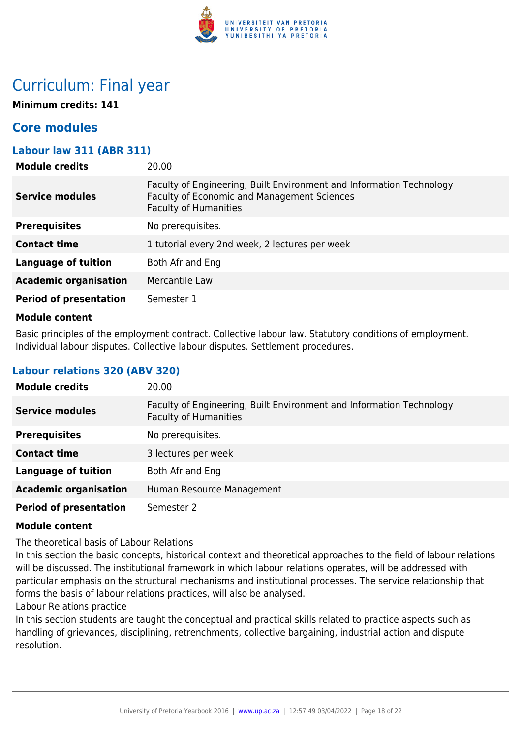

# Curriculum: Final year

**Minimum credits: 141**

# **Core modules**

# **Labour law 311 (ABR 311)**

| <b>Module credits</b>         | 20.00                                                                                                                                               |
|-------------------------------|-----------------------------------------------------------------------------------------------------------------------------------------------------|
| <b>Service modules</b>        | Faculty of Engineering, Built Environment and Information Technology<br>Faculty of Economic and Management Sciences<br><b>Faculty of Humanities</b> |
| <b>Prerequisites</b>          | No prerequisites.                                                                                                                                   |
| <b>Contact time</b>           | 1 tutorial every 2nd week, 2 lectures per week                                                                                                      |
| <b>Language of tuition</b>    | Both Afr and Eng                                                                                                                                    |
| <b>Academic organisation</b>  | Mercantile Law                                                                                                                                      |
| <b>Period of presentation</b> | Semester 1                                                                                                                                          |
| .                             |                                                                                                                                                     |

#### **Module content**

Basic principles of the employment contract. Collective labour law. Statutory conditions of employment. Individual labour disputes. Collective labour disputes. Settlement procedures.

# **Labour relations 320 (ABV 320)**

| <b>Module credits</b>         | 20.00                                                                                                |
|-------------------------------|------------------------------------------------------------------------------------------------------|
| <b>Service modules</b>        | Faculty of Engineering, Built Environment and Information Technology<br><b>Faculty of Humanities</b> |
| <b>Prerequisites</b>          | No prerequisites.                                                                                    |
| <b>Contact time</b>           | 3 lectures per week                                                                                  |
| <b>Language of tuition</b>    | Both Afr and Eng                                                                                     |
| <b>Academic organisation</b>  | Human Resource Management                                                                            |
| <b>Period of presentation</b> | Semester 2                                                                                           |

### **Module content**

The theoretical basis of Labour Relations

In this section the basic concepts, historical context and theoretical approaches to the field of labour relations will be discussed. The institutional framework in which labour relations operates, will be addressed with particular emphasis on the structural mechanisms and institutional processes. The service relationship that forms the basis of labour relations practices, will also be analysed.

Labour Relations practice

In this section students are taught the conceptual and practical skills related to practice aspects such as handling of grievances, disciplining, retrenchments, collective bargaining, industrial action and dispute resolution.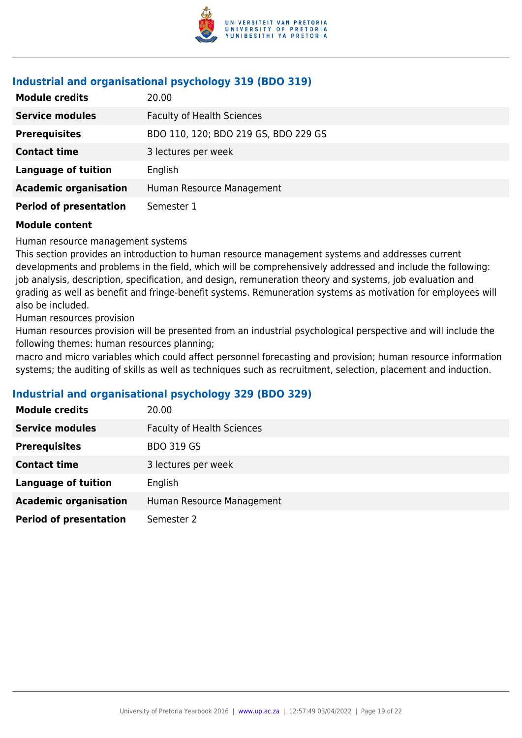

# **Industrial and organisational psychology 319 (BDO 319)**

| <b>Module credits</b>         | 20.00                                |
|-------------------------------|--------------------------------------|
| <b>Service modules</b>        | <b>Faculty of Health Sciences</b>    |
| <b>Prerequisites</b>          | BDO 110, 120; BDO 219 GS, BDO 229 GS |
| <b>Contact time</b>           | 3 lectures per week                  |
| <b>Language of tuition</b>    | English                              |
| <b>Academic organisation</b>  | Human Resource Management            |
| <b>Period of presentation</b> | Semester 1                           |

#### **Module content**

Human resource management systems

This section provides an introduction to human resource management systems and addresses current developments and problems in the field, which will be comprehensively addressed and include the following: job analysis, description, specification, and design, remuneration theory and systems, job evaluation and grading as well as benefit and fringe-benefit systems. Remuneration systems as motivation for employees will also be included.

Human resources provision

Human resources provision will be presented from an industrial psychological perspective and will include the following themes: human resources planning;

macro and micro variables which could affect personnel forecasting and provision; human resource information systems; the auditing of skills as well as techniques such as recruitment, selection, placement and induction.

# **Industrial and organisational psychology 329 (BDO 329)**

| <b>Module credits</b>         | 20.00                             |
|-------------------------------|-----------------------------------|
| <b>Service modules</b>        | <b>Faculty of Health Sciences</b> |
| <b>Prerequisites</b>          | <b>BDO 319 GS</b>                 |
| <b>Contact time</b>           | 3 lectures per week               |
| <b>Language of tuition</b>    | English                           |
| <b>Academic organisation</b>  | Human Resource Management         |
| <b>Period of presentation</b> | Semester 2                        |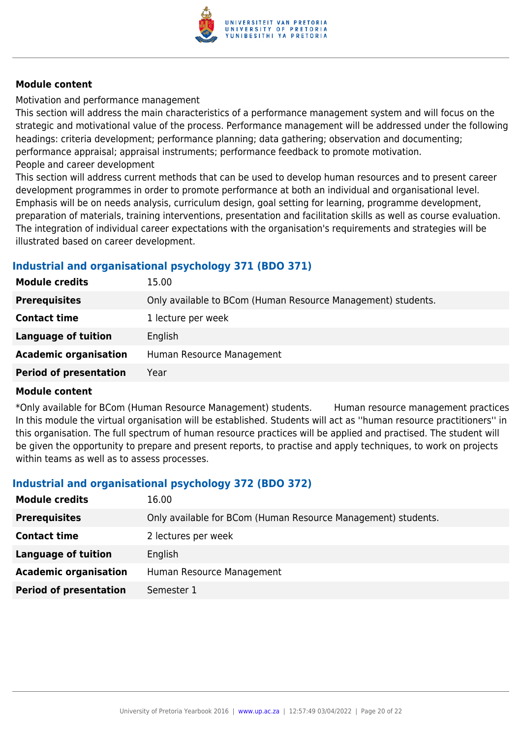

Motivation and performance management

This section will address the main characteristics of a performance management system and will focus on the strategic and motivational value of the process. Performance management will be addressed under the following headings: criteria development; performance planning; data gathering; observation and documenting; performance appraisal; appraisal instruments; performance feedback to promote motivation. People and career development

This section will address current methods that can be used to develop human resources and to present career development programmes in order to promote performance at both an individual and organisational level. Emphasis will be on needs analysis, curriculum design, goal setting for learning, programme development, preparation of materials, training interventions, presentation and facilitation skills as well as course evaluation. The integration of individual career expectations with the organisation's requirements and strategies will be illustrated based on career development.

# **Industrial and organisational psychology 371 (BDO 371)**

| <b>Module credits</b>         | 15.00                                                        |
|-------------------------------|--------------------------------------------------------------|
| <b>Prerequisites</b>          | Only available to BCom (Human Resource Management) students. |
| <b>Contact time</b>           | 1 lecture per week                                           |
| Language of tuition           | English                                                      |
| <b>Academic organisation</b>  | Human Resource Management                                    |
| <b>Period of presentation</b> | Year                                                         |

### **Module content**

\*Only available for BCom (Human Resource Management) students. Human resource management practices In this module the virtual organisation will be established. Students will act as ''human resource practitioners'' in this organisation. The full spectrum of human resource practices will be applied and practised. The student will be given the opportunity to prepare and present reports, to practise and apply techniques, to work on projects within teams as well as to assess processes.

# **Industrial and organisational psychology 372 (BDO 372)**

| <b>Module credits</b>         | 16.00                                                         |
|-------------------------------|---------------------------------------------------------------|
| <b>Prerequisites</b>          | Only available for BCom (Human Resource Management) students. |
| <b>Contact time</b>           | 2 lectures per week                                           |
| Language of tuition           | English                                                       |
| <b>Academic organisation</b>  | Human Resource Management                                     |
| <b>Period of presentation</b> | Semester 1                                                    |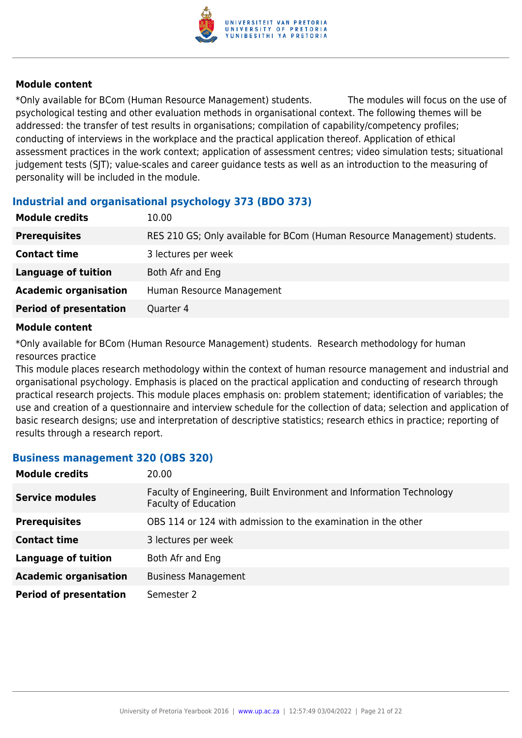

\*Only available for BCom (Human Resource Management) students. The modules will focus on the use of psychological testing and other evaluation methods in organisational context. The following themes will be addressed: the transfer of test results in organisations; compilation of capability/competency profiles; conducting of interviews in the workplace and the practical application thereof. Application of ethical assessment practices in the work context; application of assessment centres; video simulation tests; situational judgement tests (SJT); value-scales and career guidance tests as well as an introduction to the measuring of personality will be included in the module.

# **Industrial and organisational psychology 373 (BDO 373)**

| 10.00                                                                     |
|---------------------------------------------------------------------------|
| RES 210 GS; Only available for BCom (Human Resource Management) students. |
| 3 lectures per week                                                       |
| Both Afr and Eng                                                          |
| Human Resource Management                                                 |
| Quarter 4                                                                 |
|                                                                           |

#### **Module content**

\*Only available for BCom (Human Resource Management) students. Research methodology for human resources practice

This module places research methodology within the context of human resource management and industrial and organisational psychology. Emphasis is placed on the practical application and conducting of research through practical research projects. This module places emphasis on: problem statement; identification of variables; the use and creation of a questionnaire and interview schedule for the collection of data; selection and application of basic research designs; use and interpretation of descriptive statistics; research ethics in practice; reporting of results through a research report.

### **Business management 320 (OBS 320)**

| <b>Module credits</b>         | 20.00                                                                                               |
|-------------------------------|-----------------------------------------------------------------------------------------------------|
| <b>Service modules</b>        | Faculty of Engineering, Built Environment and Information Technology<br><b>Faculty of Education</b> |
| <b>Prerequisites</b>          | OBS 114 or 124 with admission to the examination in the other                                       |
| <b>Contact time</b>           | 3 lectures per week                                                                                 |
| <b>Language of tuition</b>    | Both Afr and Eng                                                                                    |
| <b>Academic organisation</b>  | <b>Business Management</b>                                                                          |
| <b>Period of presentation</b> | Semester 2                                                                                          |